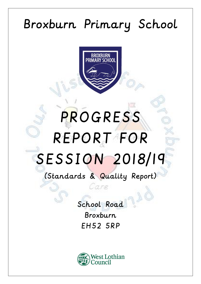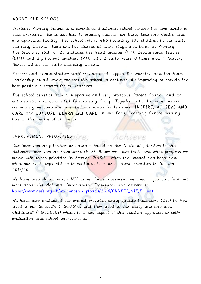## ABOUT OUR SCHOOL

Broxburn Primary School is a non-denominational school serving the community of East Broxburn. The school has 15 primary classes, an Early Learning Centre and a wraparound facility. The school roll is 485 including 103 children in our Early Learning Centre. There are two classes at every stage and three at Primary 1. The teaching staff of 25 includes the head teacher (HT), depute head teacher (DHT) and 2 principal teachers (PT), with 2 Early Years Officers and 4 Nursery Nurses within our Early Learning Centre.

Support and administrative staff provide good support for learning and teaching. Leadership at all levels ensures the school is continuously improving to provide the best possible outcomes for all learners.

The school benefits from a supportive and very proactive Parent Council and an enthusiastic and committed Fundraising Group. Together with the wider school community we continue to embed our vision for learners: INSPIRE, ACHIEVE AND CARE and EXPLORE, LEARN and CARE, in our Early Learning Centre, putting this at the centre of all we do.

## IMPROVEMENT PRIORITIES

Our improvement priorities are always based on the National priorities in the National Improvement Framework (NIF). Below we have indicated what progress we made with these priorities in Session 2018/19, what the impact has been and what our next steps will be to continue to address these priorities in Session 2019/20.

Achieve

We have also shown which NIF driver for improvement we used - you can find out more about the National Improvement Framework and drivers at [https://www.npfs.org.uk/wp-content/uploads/2016/01/NPFS\\_NIF\\_E-1.pdf.](https://www.npfs.org.uk/wp-content/uploads/2016/01/NPFS_NIF_E-1.pdf)

We have also evaluated our overall provision using quality indicators (QIs) in How Good is our School?4 (HGIOS?4) and How Good is Our Early learning and Childcare? (HGIOELC?) which is a key aspect of the Scottish approach to selfevaluation and school improvement.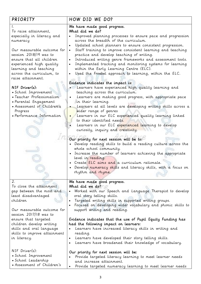| PRIORITY<br>To raise attainment,<br>especially in literacy and<br>numeracy<br>Our measurable outcome for<br>session 2018/19 was to<br>ensure that all children<br>experienced high quality<br>learning and teaching<br>across the curriculum, to<br>raise attainment.<br>NIF Driver(s):<br>· School Improvement<br>• Teacher Professionalism<br>· Parental Engagement | HOW DID WE DO?<br>We have made good progress.<br>What did we do?<br>Improved planning processes to ensure pace and progression<br>across the breadth of the curriculum.<br>Updated school planners to ensure consistent progression.<br>Staff training to improve consistent learning and teaching<br>practice and develop teaching of writing.<br>Introduced writing genre frameworks and assessment tools.<br>Implemented tracking and monitoring systems for learning<br>$\bullet$<br>within the Early Learning Centre (ELC).<br>. Used the Froebel approach to learning, within the ELC.<br>Evidence indicates the impact is:<br>Learners have experienced high quality learning and<br>teaching across the curriculum.<br>Learners are making good progress, with appropriate pace<br>$\bullet$<br>in their learning. |
|-----------------------------------------------------------------------------------------------------------------------------------------------------------------------------------------------------------------------------------------------------------------------------------------------------------------------------------------------------------------------|----------------------------------------------------------------------------------------------------------------------------------------------------------------------------------------------------------------------------------------------------------------------------------------------------------------------------------------------------------------------------------------------------------------------------------------------------------------------------------------------------------------------------------------------------------------------------------------------------------------------------------------------------------------------------------------------------------------------------------------------------------------------------------------------------------------------------|
| • Assessment of Children's                                                                                                                                                                                                                                                                                                                                            | Learners at all levels are developing writing skills across a                                                                                                                                                                                                                                                                                                                                                                                                                                                                                                                                                                                                                                                                                                                                                              |
| Progress<br>• Performance Information                                                                                                                                                                                                                                                                                                                                 | wider range of genres<br>Learners in our ELC experienced quality learning linked                                                                                                                                                                                                                                                                                                                                                                                                                                                                                                                                                                                                                                                                                                                                           |
|                                                                                                                                                                                                                                                                                                                                                                       | to their identified needs.<br>Learners in our ELC experienced learning to develop<br>curiosity, inquiry and creativity.<br>Our priority for next session will be to:<br>. Develop reading skills to build a reading culture across the<br>whole school community.<br>• Increase the number of learners achieving the appropriate<br>level in reading.<br>· Create ELC aims and a curriculum rationale.<br>• Develop numeracy skills and literacy skills, with a focus on<br>rhythm and rhyme.                                                                                                                                                                                                                                                                                                                              |
| 2.<br>To close the attainment                                                                                                                                                                                                                                                                                                                                         | We have made good progress.<br>What did we do?                                                                                                                                                                                                                                                                                                                                                                                                                                                                                                                                                                                                                                                                                                                                                                             |
| gap between the most and<br>least disadvantaged<br>children<br>Our measurable outcome for<br>session 2017/18 was to                                                                                                                                                                                                                                                   | • Worked with our Speech and Language Therapist to develop<br>oral story telling skills.<br>· Targeted writing skills in supported writing groups.<br>• Focused on developing wider vocabulary and phonic skills to<br>support writing and reading.                                                                                                                                                                                                                                                                                                                                                                                                                                                                                                                                                                        |
| ensure that targeted<br>children develop writing<br>skills and oral language<br>skills to improve attainment<br>in literacy.                                                                                                                                                                                                                                          | Evidence indicates that the use of Pupil Equity Funding has<br>had the following impact on learners:<br>• Learners have increased literacy skills in writing and<br>reading.<br>• Learners have developed their story telling skills.<br>Learners have broadened their knowledge of vocabulary.<br>$\bullet$                                                                                                                                                                                                                                                                                                                                                                                                                                                                                                               |
| $NIF$ Driver $(s)$ :<br>• School Improvement<br>· School Leadership<br>• Assessment of Children's                                                                                                                                                                                                                                                                     | Our priority for next session will be:<br>. Provide targeted literacy learning to meet learner needs<br>and increase attainment.<br>Provide targeted numeracy learning to meet learner needs                                                                                                                                                                                                                                                                                                                                                                                                                                                                                                                                                                                                                               |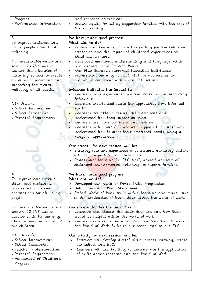| Progress<br>· Performance Information                                                                                                                                                                                                                                                                                       | and increase attainment.<br>Ensure equity for all by supporting families with the cost of<br>the school day.                                                                                                                                                                                                                                                                                                                                                                                                                                                                                                                                     |
|-----------------------------------------------------------------------------------------------------------------------------------------------------------------------------------------------------------------------------------------------------------------------------------------------------------------------------|--------------------------------------------------------------------------------------------------------------------------------------------------------------------------------------------------------------------------------------------------------------------------------------------------------------------------------------------------------------------------------------------------------------------------------------------------------------------------------------------------------------------------------------------------------------------------------------------------------------------------------------------------|
| 3.<br>To improve children and<br>young people's health &<br>wellbeing<br>Our measurable outcome for<br>session 2017/18 was to<br>develop the principles of<br>nurturing schools to create<br>an ethos of promoting and<br>supporting the mental<br>wellbeing of all pupils.<br>$NIF$ Driver $(s)$ :<br>· School Improvement | We have made good progress.<br>What did we do?<br>Professional Learning for staff regarding positive behaviour<br>strategies and the impact of childhood experiences on<br>child development.<br>Developed emotional understanding and language within<br>our learners using Emotion Works.<br>Our Play therapist supported identified individuals<br>Professional learning for ELC staff in approaches to<br>managing behaviour within the ELC setting.<br>Evidence indicates the impact is:<br>Learners have experienced positive strategies for supporting<br>behaviour.<br>Learners experienced nurturing approaches from informed<br>staff. |
| · School Leadership<br>• Parental Engagement                                                                                                                                                                                                                                                                                | Learners are able to discuss their emotions and<br>understand how they impact on them.<br>Learners are more confident and resilient.<br>Learners within our ELC are well supported, by staff who<br>understand how to meet their emotional needs, using a<br>range of approaches. The management<br>Our priority for next session will be:<br>· Ensuring learners experience a consistent, nurturing culture<br>with high expectations of behaviour.<br>· Professional learning for ELC staff, around an area of<br>childhood developmental wellbeing, to support families.                                                                      |
| 4.<br>To improve employability<br>skills, and sustained,<br>positive school-leaver<br>destinations for all young<br>people<br>Our measurable outcome for<br>session 2017/18 was to<br>develop skills for learning,<br>life and work within all of<br>our children.                                                          | We have made good progress.<br>What did we do?<br>Developed our World of Works Skills Progression.<br>Held a World of Work Skills week<br>• Embed World of Work skills within learning and make links<br>to the application of these skills within the world of work.<br>Evidence indicates the impact is:<br>Learners can discuss the skills they use and how these<br>would be helpful within the world of work.<br>• Learners experience learning which enables them to develop<br>the World of Work Skills in our school and in our ELC.                                                                                                     |
| $NIF$ Driver $(s)$ :<br>· School Improvement<br>· School Leadership<br>· Teacher Professionalism<br>• Parental Engagement<br>• Assessment of Children's<br>Progress                                                                                                                                                         | Our priority for next session will be:<br>Learners will develop digital skills, across learning, within<br>$\bullet$<br>our school and ELC.<br>Learners will use Profiling to demonstrate the application<br>of skills across learning and the World of Work.                                                                                                                                                                                                                                                                                                                                                                                    |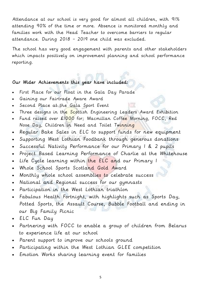Attendance at our school is very good for almost all children, with 91% attending 90% of the time or more. Absence is monitored monthly and families work with the Head Teacher to overcome barriers to regular attendance. During 2018 – 2019 one child was excluded.

The school has very good engagement with parents and other stakeholders which impacts positively on improvement planning and school performance reporting.

## Our Wider Achievements this year have included:

- First Place for our Float in the Gala Day Parade
- Gaining our Fairtrade Aware Award
- Second Place at the Gala Sport Event
- Three designs in the Scottish Engineering Leaders Award Exhibition
- Fund raised over £1000 for; Macmillan Coffee Morning, FOCC, Red Nose Day, Children in Need and Toilet Twinning
- Regular Bake Sales in ELC to support funds for new equipment
- Supporting West Lothian Foodbank through generous donations
- Successful Nativity Performance for our Primary 1 & 2 pupils
- Project Based Learning Performance of Charlie at the Whitehouse
- Life Cycle learning within the ELC and our Primary 1
- Whole School Sports Scotland Gold Award
- Monthly whole school assemblies to celebrate success
- National and Regional success for our gymnasts
- Participation in the West Lothian triathlon
- Fabulous Health Fortnight, with highlights such as Sports Day, Potted Sports, the Assault Course, Bubble Football and ending in our Big Family Picnic
- ELC Fun Day
- Partnering with FOCC to enable a group of children from Belarus to experience life at our school
- Parent support to improve our schools ground
- Participating within the West Lothian GLEE competition
- Emotion Works sharing learning event for families